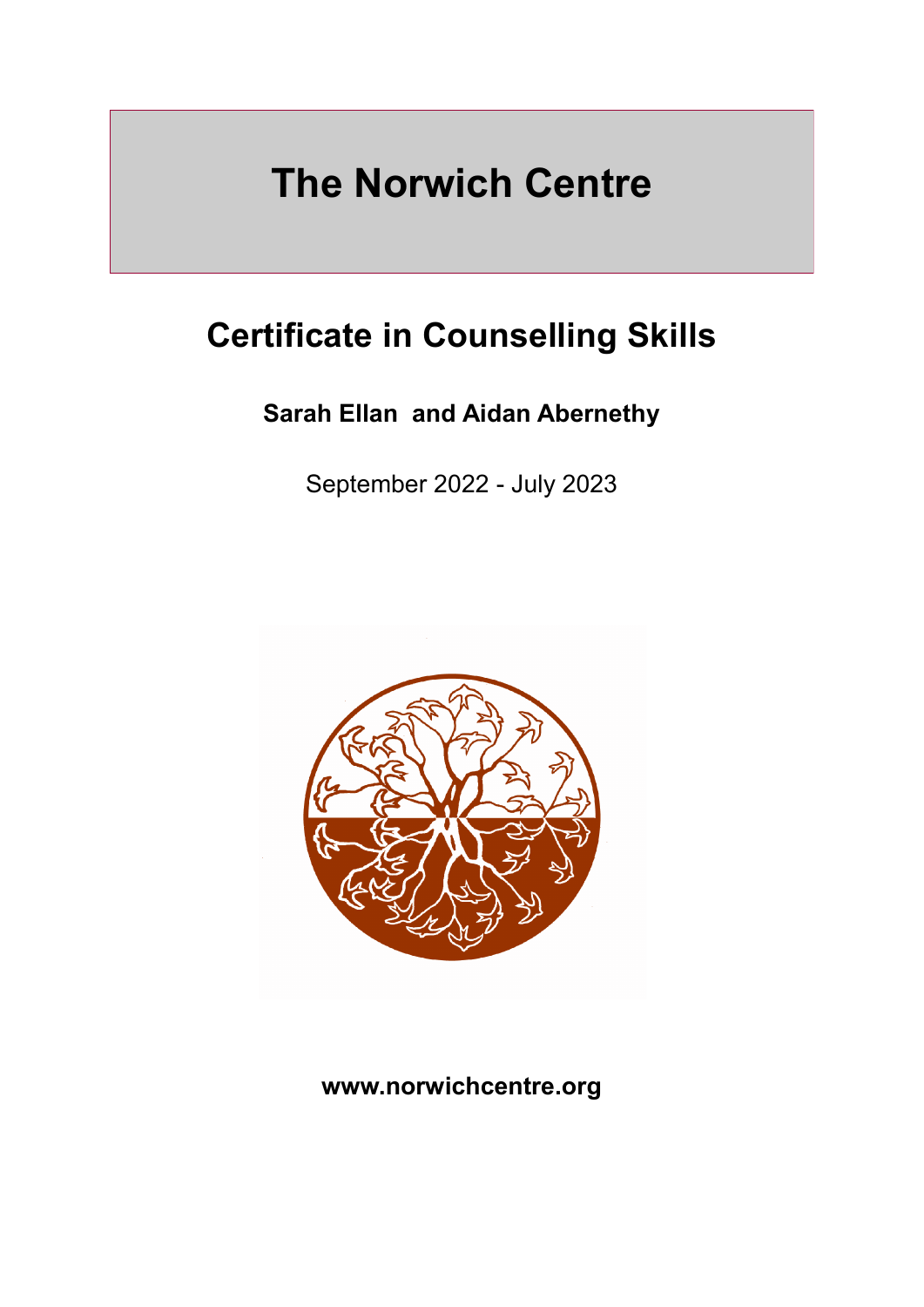# **The Norwich Centre**

## **Certificate in Counselling Skills**

## **Sarah Ellan and Aidan Abernethy**

September 2022 - July 2023



## **www.norwichcentre.org**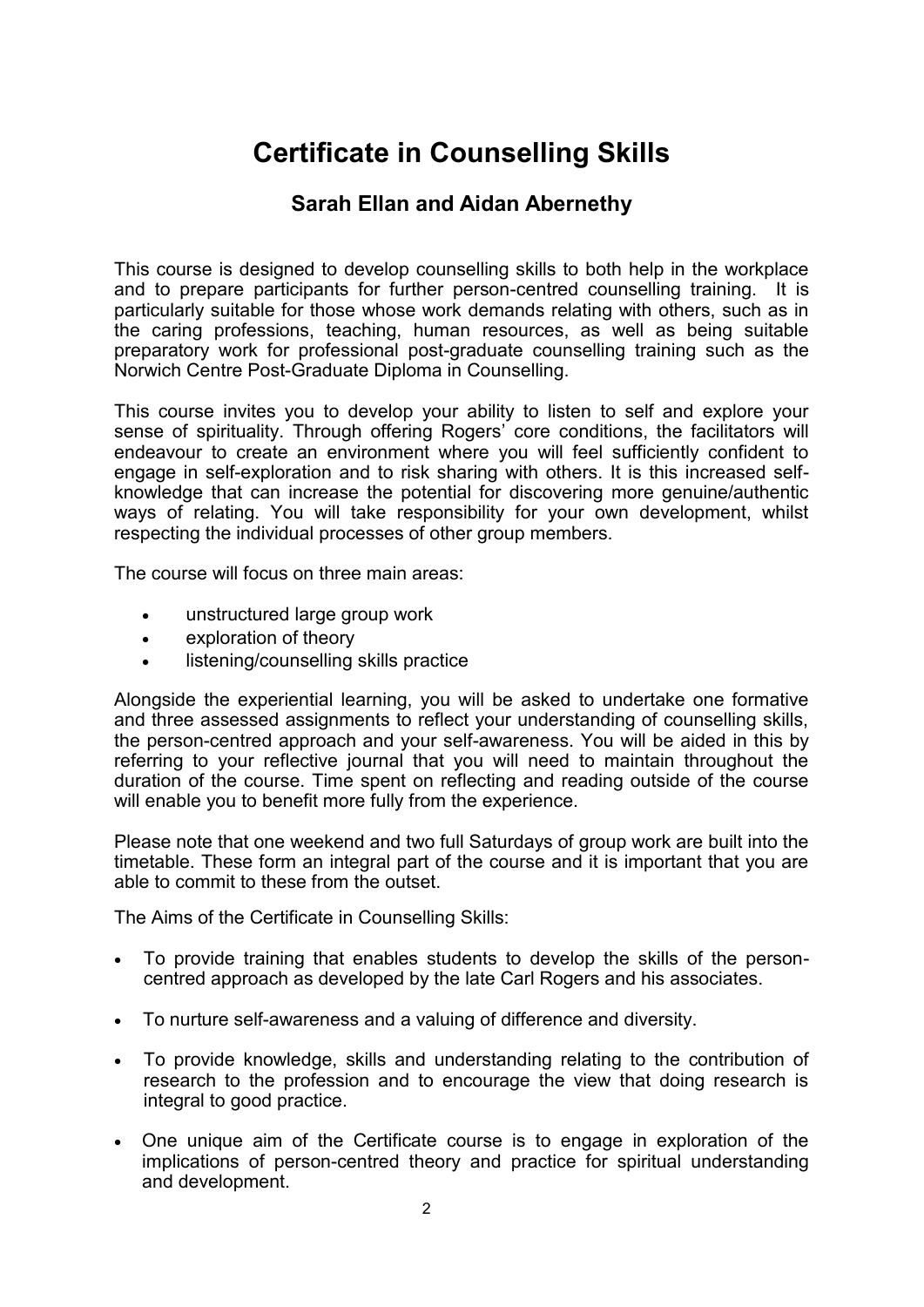## **Certificate in Counselling Skills**

### **Sarah Ellan and Aidan Abernethy**

This course is designed to develop counselling skills to both help in the workplace and to prepare participants for further person-centred counselling training. It is particularly suitable for those whose work demands relating with others, such as in the caring professions, teaching, human resources, as well as being suitable preparatory work for professional post-graduate counselling training such as the Norwich Centre Post-Graduate Diploma in Counselling.

This course invites you to develop your ability to listen to self and explore your sense of spirituality. Through offering Rogers' core conditions, the facilitators will endeavour to create an environment where you will feel sufficiently confident to engage in self-exploration and to risk sharing with others. It is this increased selfknowledge that can increase the potential for discovering more genuine/authentic ways of relating. You will take responsibility for your own development, whilst respecting the individual processes of other group members.

The course will focus on three main areas:

- unstructured large group work
- exploration of theory
- listening/counselling skills practice

Alongside the experiential learning, you will be asked to undertake one formative and three assessed assignments to reflect your understanding of counselling skills, the person-centred approach and your self-awareness. You will be aided in this by referring to your reflective journal that you will need to maintain throughout the duration of the course. Time spent on reflecting and reading outside of the course will enable you to benefit more fully from the experience.

Please note that one weekend and two full Saturdays of group work are built into the timetable. These form an integral part of the course and it is important that you are able to commit to these from the outset.

The Aims of the Certificate in Counselling Skills:

- To provide training that enables students to develop the skills of the personcentred approach as developed by the late Carl Rogers and his associates.
- To nurture self-awareness and a valuing of difference and diversity.
- To provide knowledge, skills and understanding relating to the contribution of research to the profession and to encourage the view that doing research is integral to good practice.
- One unique aim of the Certificate course is to engage in exploration of the implications of person-centred theory and practice for spiritual understanding and development.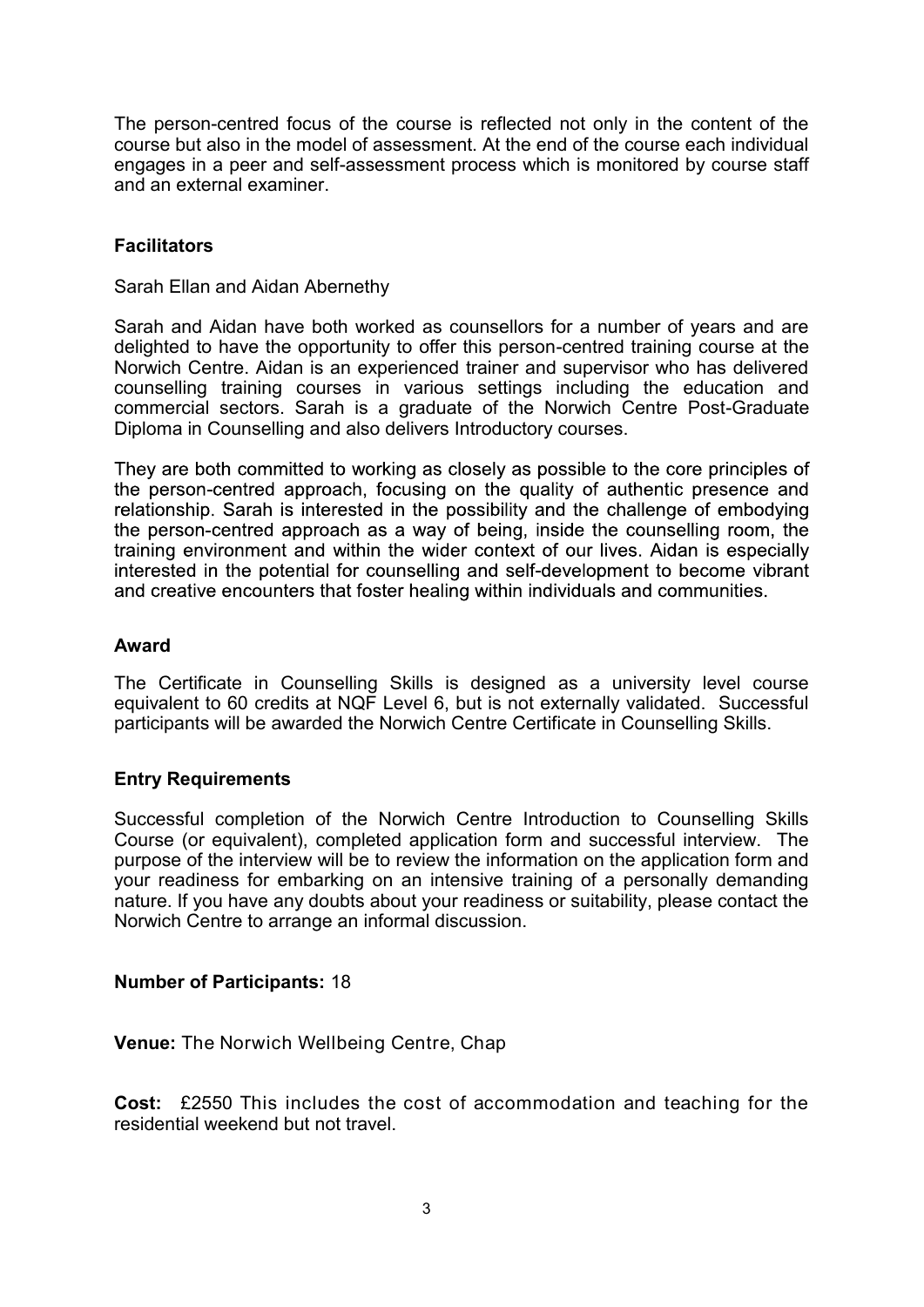The person-centred focus of the course is reflected not only in the content of the course but also in the model of assessment. At the end of the course each individual engages in a peer and self-assessment process which is monitored by course staff and an external examiner.

#### **Facilitators**

Sarah Ellan and Aidan Abernethy

Sarah and Aidan have both worked as counsellors for a number of years and are delighted to have the opportunity to offer this person-centred training course at the Norwich Centre. Aidan is an experienced trainer and supervisor who has delivered counselling training courses in various settings including the education and commercial sectors. Sarah is a graduate of the Norwich Centre Post-Graduate Diploma in Counselling and also delivers Introductory courses.

They are both committed to working as closely as possible to the core principles of the person-centred approach, focusing on the quality of authentic presence and relationship. Sarah is interested in the possibility and the challenge of embodying the person-centred approach as a way of being, inside the counselling room, the training environment and within the wider context of our lives. Aidan is especially interested in the potential for counselling and self-development to become vibrant and creative encounters that foster healing within individuals and communities.

#### **Award**

The Certificate in Counselling Skills is designed as a university level course equivalent to 60 credits at NQF Level 6, but is not externally validated. Successful participants will be awarded the Norwich Centre Certificate in Counselling Skills.

#### **Entry Requirements**

Successful completion of the Norwich Centre Introduction to Counselling Skills Course (or equivalent), completed application form and successful interview. The purpose of the interview will be to review the information on the application form and your readiness for embarking on an intensive training of a personally demanding nature. If you have any doubts about your readiness or suitability, please contact the Norwich Centre to arrange an informal discussion.

#### **Number of Participants:** 18

**Venue:** The Norwich Wellbeing Centre, Chap

**Cost:** £2550 This includes the cost of accommodation and teaching for the residential weekend but not travel.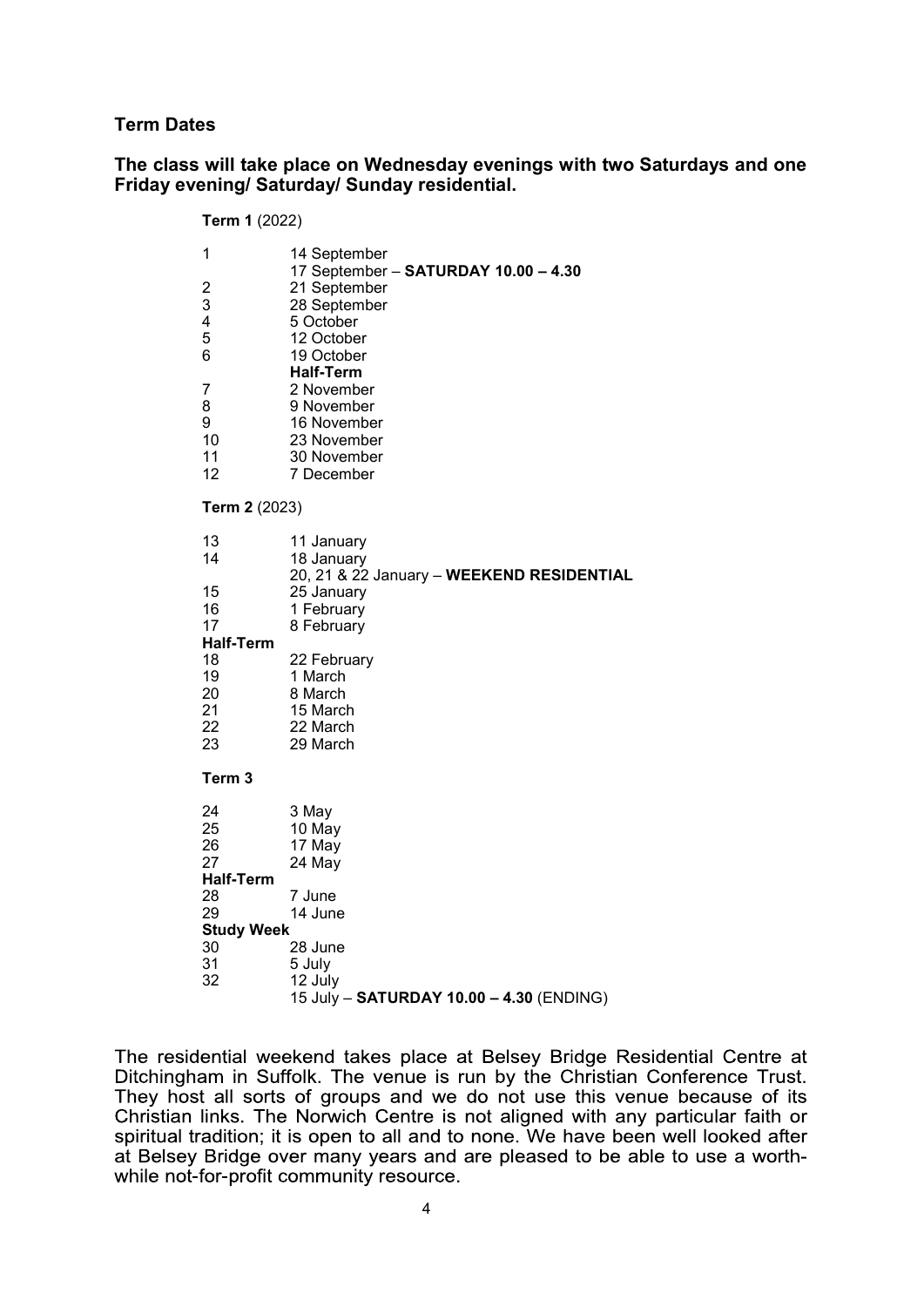#### **Term Dates**

#### **The class will take place on Wednesday evenings with two Saturdays and one Friday evening/ Saturday/ Sunday residential.**

| <b>Term 1 (2022)</b>                                                            |                                                                                                                                                                                                                                          |
|---------------------------------------------------------------------------------|------------------------------------------------------------------------------------------------------------------------------------------------------------------------------------------------------------------------------------------|
| 1<br>$\overline{c}$<br>3<br>4<br>5<br>6<br>7<br>8<br>9<br>10<br>11<br>12        | 14 September<br>17 September - SATURDAY 10.00 - 4.30<br>21 September<br>28 September<br>5 October<br>12 October<br>19 October<br><b>Half-Term</b><br>2 November<br>9 November<br>16 November<br>23 November<br>30 November<br>7 December |
| Term 2 (2023)                                                                   |                                                                                                                                                                                                                                          |
| 13<br>14                                                                        | 11 January<br>18 January                                                                                                                                                                                                                 |
| 15<br>16<br>17                                                                  | 20, 21 & 22 January - WEEKEND RESIDENTIAL<br>25 January<br>1 February<br>8 February                                                                                                                                                      |
| <b>Half-Term</b><br>18<br>19<br>20<br>21<br>22<br>23                            | 22 February<br>1 March<br>8 March<br>15 March<br>22 March<br>29 March                                                                                                                                                                    |
| Term <sub>3</sub>                                                               |                                                                                                                                                                                                                                          |
| 24<br>25<br>26<br>27<br><b>Half-Term</b><br>28<br>29<br><b>Study Week</b><br>30 | 3 May<br>10 May<br>17 May<br>24 May<br>7 June<br>14 June<br>28 June                                                                                                                                                                      |
| 31<br>32                                                                        | 5 July<br>12 July<br>15 July - SATURDAY 10.00 - 4.30 (ENDING)                                                                                                                                                                            |

The residential weekend takes place at Belsey Bridge Residential Centre at Ditchingham in Suffolk. The venue is run by the Christian Conference Trust. They host all sorts of groups and we do not use this venue because of its Christian links. The Norwich Centre is not aligned with any particular faith or spiritual tradition; it is open to all and to none. We have been well looked after at Belsey Bridge over many years and are pleased to be able to use a worthwhile not-for-profit community resource.